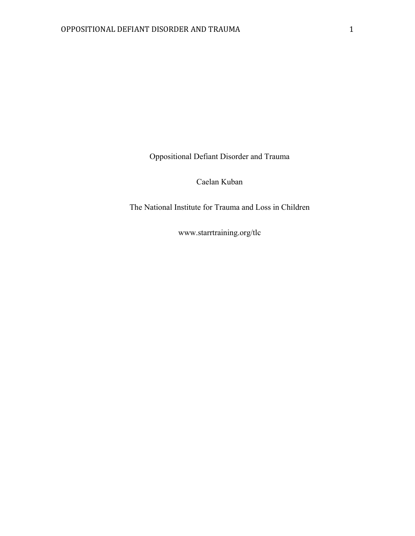Oppositional Defiant Disorder and Trauma

Caelan Kuban

The National Institute for Trauma and Loss in Children

www.starrtraining.org/tlc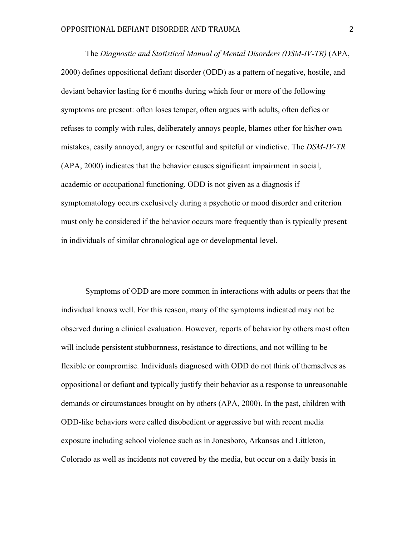The *Diagnostic and Statistical Manual of Mental Disorders (DSM-IV-TR)* (APA, 2000) defines oppositional defiant disorder (ODD) as a pattern of negative, hostile, and deviant behavior lasting for 6 months during which four or more of the following symptoms are present: often loses temper, often argues with adults, often defies or refuses to comply with rules, deliberately annoys people, blames other for his/her own mistakes, easily annoyed, angry or resentful and spiteful or vindictive. The *DSM-IV-TR* (APA, 2000) indicates that the behavior causes significant impairment in social, academic or occupational functioning. ODD is not given as a diagnosis if symptomatology occurs exclusively during a psychotic or mood disorder and criterion must only be considered if the behavior occurs more frequently than is typically present in individuals of similar chronological age or developmental level.

Symptoms of ODD are more common in interactions with adults or peers that the individual knows well. For this reason, many of the symptoms indicated may not be observed during a clinical evaluation. However, reports of behavior by others most often will include persistent stubbornness, resistance to directions, and not willing to be flexible or compromise. Individuals diagnosed with ODD do not think of themselves as oppositional or defiant and typically justify their behavior as a response to unreasonable demands or circumstances brought on by others (APA, 2000). In the past, children with ODD-like behaviors were called disobedient or aggressive but with recent media exposure including school violence such as in Jonesboro, Arkansas and Littleton, Colorado as well as incidents not covered by the media, but occur on a daily basis in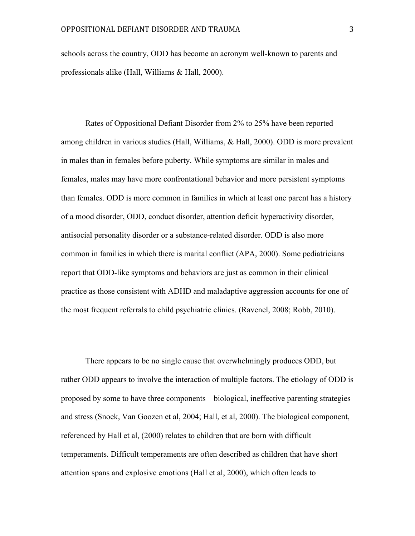schools across the country, ODD has become an acronym well-known to parents and professionals alike (Hall, Williams & Hall, 2000).

Rates of Oppositional Defiant Disorder from 2% to 25% have been reported among children in various studies (Hall, Williams, & Hall, 2000). ODD is more prevalent in males than in females before puberty. While symptoms are similar in males and females, males may have more confrontational behavior and more persistent symptoms than females. ODD is more common in families in which at least one parent has a history of a mood disorder, ODD, conduct disorder, attention deficit hyperactivity disorder, antisocial personality disorder or a substance-related disorder. ODD is also more common in families in which there is marital conflict (APA, 2000). Some pediatricians report that ODD-like symptoms and behaviors are just as common in their clinical practice as those consistent with ADHD and maladaptive aggression accounts for one of the most frequent referrals to child psychiatric clinics. (Ravenel, 2008; Robb, 2010).

There appears to be no single cause that overwhelmingly produces ODD, but rather ODD appears to involve the interaction of multiple factors. The etiology of ODD is proposed by some to have three components—biological, ineffective parenting strategies and stress (Snoek, Van Goozen et al, 2004; Hall, et al, 2000). The biological component, referenced by Hall et al, (2000) relates to children that are born with difficult temperaments. Difficult temperaments are often described as children that have short attention spans and explosive emotions (Hall et al, 2000), which often leads to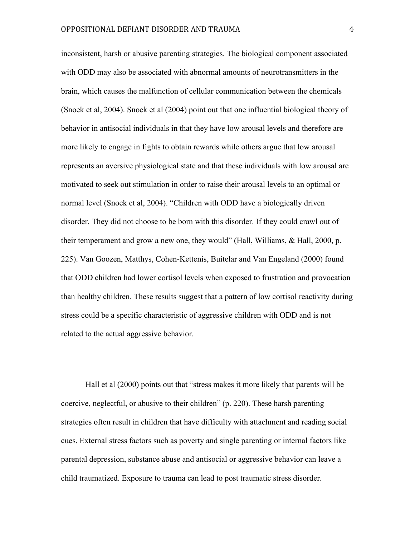inconsistent, harsh or abusive parenting strategies. The biological component associated with ODD may also be associated with abnormal amounts of neurotransmitters in the brain, which causes the malfunction of cellular communication between the chemicals (Snoek et al, 2004). Snoek et al (2004) point out that one influential biological theory of behavior in antisocial individuals in that they have low arousal levels and therefore are more likely to engage in fights to obtain rewards while others argue that low arousal represents an aversive physiological state and that these individuals with low arousal are motivated to seek out stimulation in order to raise their arousal levels to an optimal or normal level (Snoek et al, 2004). "Children with ODD have a biologically driven disorder. They did not choose to be born with this disorder. If they could crawl out of their temperament and grow a new one, they would" (Hall, Williams, & Hall, 2000, p. 225). Van Goozen, Matthys, Cohen-Kettenis, Buitelar and Van Engeland (2000) found that ODD children had lower cortisol levels when exposed to frustration and provocation than healthy children. These results suggest that a pattern of low cortisol reactivity during stress could be a specific characteristic of aggressive children with ODD and is not related to the actual aggressive behavior.

Hall et al (2000) points out that "stress makes it more likely that parents will be coercive, neglectful, or abusive to their children" (p. 220). These harsh parenting strategies often result in children that have difficulty with attachment and reading social cues. External stress factors such as poverty and single parenting or internal factors like parental depression, substance abuse and antisocial or aggressive behavior can leave a child traumatized. Exposure to trauma can lead to post traumatic stress disorder.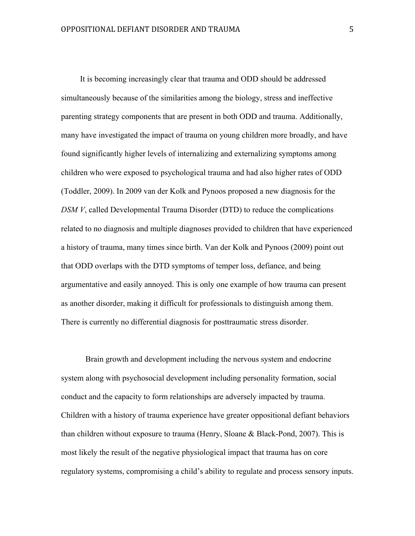It is becoming increasingly clear that trauma and ODD should be addressed simultaneously because of the similarities among the biology, stress and ineffective parenting strategy components that are present in both ODD and trauma. Additionally, many have investigated the impact of trauma on young children more broadly, and have found significantly higher levels of internalizing and externalizing symptoms among children who were exposed to psychological trauma and had also higher rates of ODD (Toddler, 2009). In 2009 van der Kolk and Pynoos proposed a new diagnosis for the *DSM V*, called Developmental Trauma Disorder (DTD) to reduce the complications related to no diagnosis and multiple diagnoses provided to children that have experienced a history of trauma, many times since birth. Van der Kolk and Pynoos (2009) point out that ODD overlaps with the DTD symptoms of temper loss, defiance, and being argumentative and easily annoyed. This is only one example of how trauma can present as another disorder, making it difficult for professionals to distinguish among them. There is currently no differential diagnosis for posttraumatic stress disorder.

Brain growth and development including the nervous system and endocrine system along with psychosocial development including personality formation, social conduct and the capacity to form relationships are adversely impacted by trauma. Children with a history of trauma experience have greater oppositional defiant behaviors than children without exposure to trauma (Henry, Sloane & Black-Pond, 2007). This is most likely the result of the negative physiological impact that trauma has on core regulatory systems, compromising a child's ability to regulate and process sensory inputs.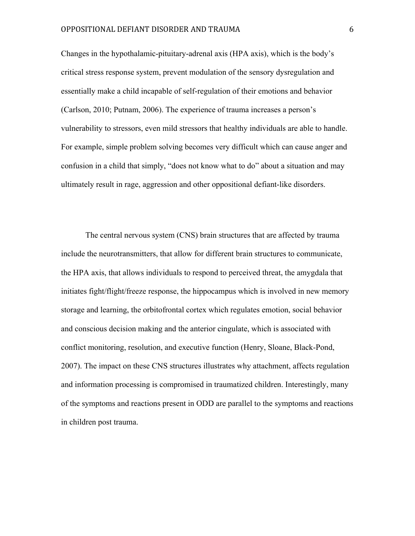Changes in the hypothalamic-pituitary-adrenal axis (HPA axis), which is the body's critical stress response system, prevent modulation of the sensory dysregulation and essentially make a child incapable of self-regulation of their emotions and behavior (Carlson, 2010; Putnam, 2006). The experience of trauma increases a person's vulnerability to stressors, even mild stressors that healthy individuals are able to handle. For example, simple problem solving becomes very difficult which can cause anger and confusion in a child that simply, "does not know what to do" about a situation and may ultimately result in rage, aggression and other oppositional defiant-like disorders.

The central nervous system (CNS) brain structures that are affected by trauma include the neurotransmitters, that allow for different brain structures to communicate, the HPA axis, that allows individuals to respond to perceived threat, the amygdala that initiates fight/flight/freeze response, the hippocampus which is involved in new memory storage and learning, the orbitofrontal cortex which regulates emotion, social behavior and conscious decision making and the anterior cingulate, which is associated with conflict monitoring, resolution, and executive function (Henry, Sloane, Black-Pond, 2007). The impact on these CNS structures illustrates why attachment, affects regulation and information processing is compromised in traumatized children. Interestingly, many of the symptoms and reactions present in ODD are parallel to the symptoms and reactions in children post trauma.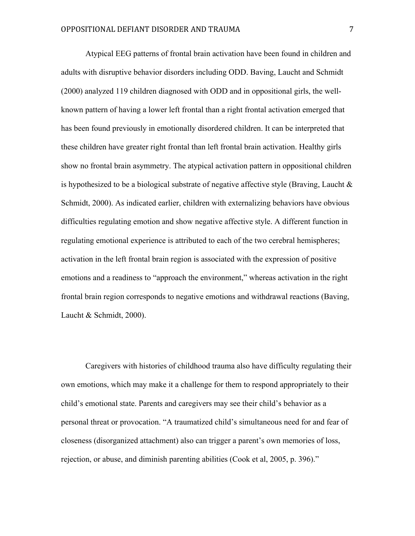Atypical EEG patterns of frontal brain activation have been found in children and adults with disruptive behavior disorders including ODD. Baving, Laucht and Schmidt (2000) analyzed 119 children diagnosed with ODD and in oppositional girls, the wellknown pattern of having a lower left frontal than a right frontal activation emerged that has been found previously in emotionally disordered children. It can be interpreted that these children have greater right frontal than left frontal brain activation. Healthy girls show no frontal brain asymmetry. The atypical activation pattern in oppositional children is hypothesized to be a biological substrate of negative affective style (Braving, Laucht  $\&$ Schmidt, 2000). As indicated earlier, children with externalizing behaviors have obvious difficulties regulating emotion and show negative affective style. A different function in regulating emotional experience is attributed to each of the two cerebral hemispheres; activation in the left frontal brain region is associated with the expression of positive emotions and a readiness to "approach the environment," whereas activation in the right frontal brain region corresponds to negative emotions and withdrawal reactions (Baving, Laucht & Schmidt, 2000).

Caregivers with histories of childhood trauma also have difficulty regulating their own emotions, which may make it a challenge for them to respond appropriately to their child's emotional state. Parents and caregivers may see their child's behavior as a personal threat or provocation. "A traumatized child's simultaneous need for and fear of closeness (disorganized attachment) also can trigger a parent's own memories of loss, rejection, or abuse, and diminish parenting abilities (Cook et al, 2005, p. 396)."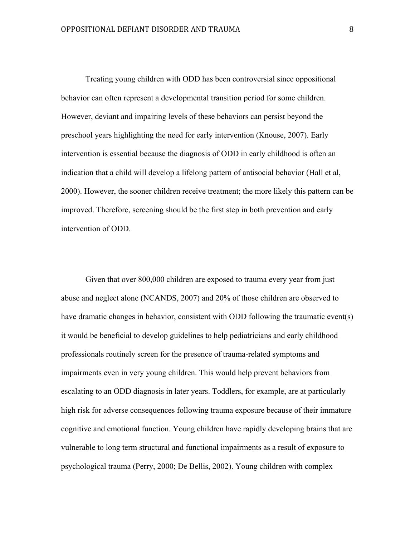Treating young children with ODD has been controversial since oppositional behavior can often represent a developmental transition period for some children. However, deviant and impairing levels of these behaviors can persist beyond the preschool years highlighting the need for early intervention (Knouse, 2007). Early intervention is essential because the diagnosis of ODD in early childhood is often an indication that a child will develop a lifelong pattern of antisocial behavior (Hall et al, 2000). However, the sooner children receive treatment; the more likely this pattern can be improved. Therefore, screening should be the first step in both prevention and early intervention of ODD.

Given that over 800,000 children are exposed to trauma every year from just abuse and neglect alone (NCANDS, 2007) and 20% of those children are observed to have dramatic changes in behavior, consistent with ODD following the traumatic event(s) it would be beneficial to develop guidelines to help pediatricians and early childhood professionals routinely screen for the presence of trauma-related symptoms and impairments even in very young children. This would help prevent behaviors from escalating to an ODD diagnosis in later years. Toddlers, for example, are at particularly high risk for adverse consequences following trauma exposure because of their immature cognitive and emotional function. Young children have rapidly developing brains that are vulnerable to long term structural and functional impairments as a result of exposure to psychological trauma (Perry, 2000; De Bellis, 2002). Young children with complex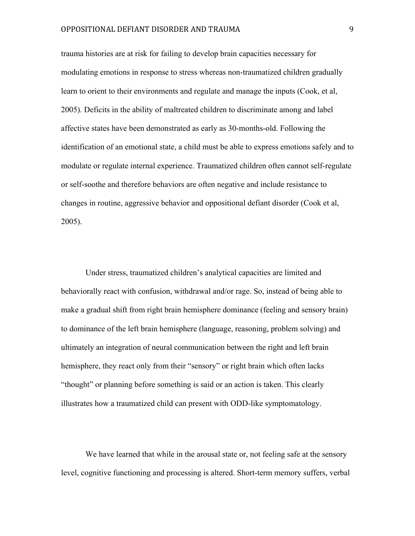trauma histories are at risk for failing to develop brain capacities necessary for modulating emotions in response to stress whereas non-traumatized children gradually learn to orient to their environments and regulate and manage the inputs (Cook, et al, 2005). Deficits in the ability of maltreated children to discriminate among and label affective states have been demonstrated as early as 30-months-old. Following the identification of an emotional state, a child must be able to express emotions safely and to modulate or regulate internal experience. Traumatized children often cannot self-regulate or self-soothe and therefore behaviors are often negative and include resistance to changes in routine, aggressive behavior and oppositional defiant disorder (Cook et al, 2005).

Under stress, traumatized children's analytical capacities are limited and behaviorally react with confusion, withdrawal and/or rage. So, instead of being able to make a gradual shift from right brain hemisphere dominance (feeling and sensory brain) to dominance of the left brain hemisphere (language, reasoning, problem solving) and ultimately an integration of neural communication between the right and left brain hemisphere, they react only from their "sensory" or right brain which often lacks "thought" or planning before something is said or an action is taken. This clearly illustrates how a traumatized child can present with ODD-like symptomatology.

We have learned that while in the arousal state or, not feeling safe at the sensory level, cognitive functioning and processing is altered. Short-term memory suffers, verbal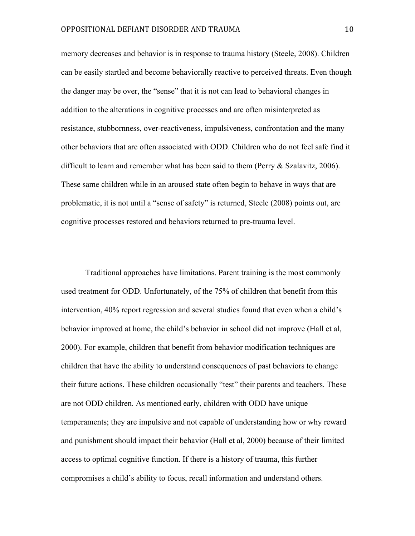memory decreases and behavior is in response to trauma history (Steele, 2008). Children can be easily startled and become behaviorally reactive to perceived threats. Even though the danger may be over, the "sense" that it is not can lead to behavioral changes in addition to the alterations in cognitive processes and are often misinterpreted as resistance, stubbornness, over-reactiveness, impulsiveness, confrontation and the many other behaviors that are often associated with ODD. Children who do not feel safe find it difficult to learn and remember what has been said to them (Perry & Szalavitz, 2006). These same children while in an aroused state often begin to behave in ways that are problematic, it is not until a "sense of safety" is returned, Steele (2008) points out, are cognitive processes restored and behaviors returned to pre-trauma level.

Traditional approaches have limitations. Parent training is the most commonly used treatment for ODD. Unfortunately, of the 75% of children that benefit from this intervention, 40% report regression and several studies found that even when a child's behavior improved at home, the child's behavior in school did not improve (Hall et al, 2000). For example, children that benefit from behavior modification techniques are children that have the ability to understand consequences of past behaviors to change their future actions. These children occasionally "test" their parents and teachers. These are not ODD children. As mentioned early, children with ODD have unique temperaments; they are impulsive and not capable of understanding how or why reward and punishment should impact their behavior (Hall et al, 2000) because of their limited access to optimal cognitive function. If there is a history of trauma, this further compromises a child's ability to focus, recall information and understand others.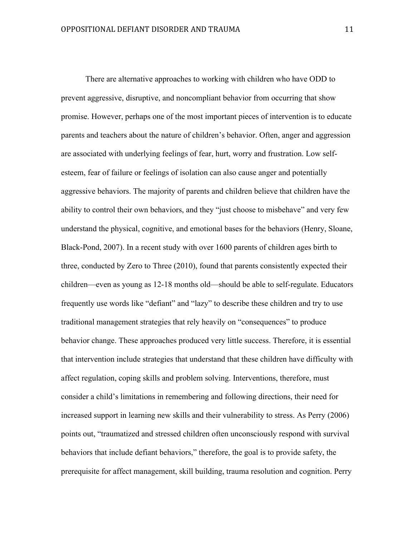There are alternative approaches to working with children who have ODD to prevent aggressive, disruptive, and noncompliant behavior from occurring that show promise. However, perhaps one of the most important pieces of intervention is to educate parents and teachers about the nature of children's behavior. Often, anger and aggression are associated with underlying feelings of fear, hurt, worry and frustration. Low selfesteem, fear of failure or feelings of isolation can also cause anger and potentially aggressive behaviors. The majority of parents and children believe that children have the ability to control their own behaviors, and they "just choose to misbehave" and very few understand the physical, cognitive, and emotional bases for the behaviors (Henry, Sloane, Black-Pond, 2007). In a recent study with over 1600 parents of children ages birth to three, conducted by Zero to Three (2010), found that parents consistently expected their children—even as young as 12-18 months old—should be able to self-regulate. Educators frequently use words like "defiant" and "lazy" to describe these children and try to use traditional management strategies that rely heavily on "consequences" to produce behavior change. These approaches produced very little success. Therefore, it is essential that intervention include strategies that understand that these children have difficulty with affect regulation, coping skills and problem solving. Interventions, therefore, must consider a child's limitations in remembering and following directions, their need for increased support in learning new skills and their vulnerability to stress. As Perry (2006) points out, "traumatized and stressed children often unconsciously respond with survival behaviors that include defiant behaviors," therefore, the goal is to provide safety, the prerequisite for affect management, skill building, trauma resolution and cognition. Perry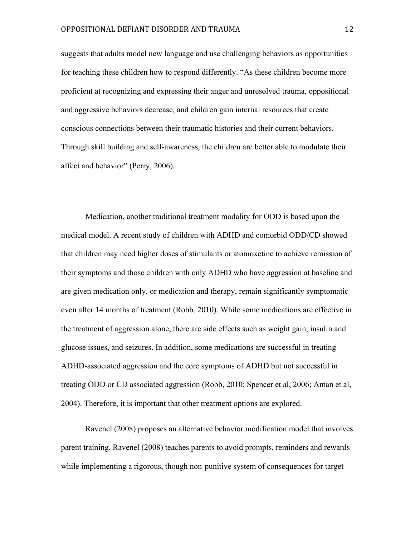suggests that adults model new language and use challenging behaviors as opportunities for teaching these children how to respond differently. "As these children become more proficient at recognizing and expressing their anger and unresolved trauma, oppositional and aggressive behaviors decrease, and children gain internal resources that create conscious connections between their traumatic histories and their current behaviors. Through skill building and self-awareness, the children are better able to modulate their affect and behavior" (Perry, 2006).

Medication, another traditional treatment modality for ODD is based upon the medical model. A recent study of children with ADHD and comorbid ODD/CD showed that children may need higher doses of stimulants or atomoxetine to achieve remission of their symptoms and those children with only ADHD who have aggression at baseline and are given medication only, or medication and therapy, remain significantly symptomatic even after 14 months of treatment (Robb, 2010). While some medications are effective in the treatment of aggression alone, there are side effects such as weight gain, insulin and glucose issues, and seizures. In addition, some medications are successful in treating ADHD-associated aggression and the core symptoms of ADHD but not successful in treating ODD or CD associated aggression (Robb, 2010; Spencer et al, 2006; Aman et al, 2004). Therefore, it is important that other treatment options are explored.

Ravenel (2008) proposes an alternative behavior modification model that involves parent training. Ravenel (2008) teaches parents to avoid prompts, reminders and rewards while implementing a rigorous, though non-punitive system of consequences for target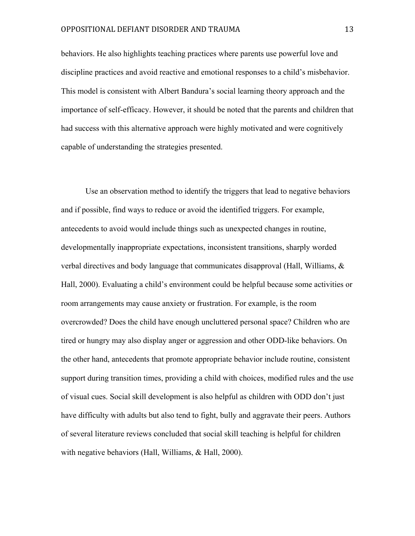behaviors. He also highlights teaching practices where parents use powerful love and discipline practices and avoid reactive and emotional responses to a child's misbehavior. This model is consistent with Albert Bandura's social learning theory approach and the importance of self-efficacy. However, it should be noted that the parents and children that had success with this alternative approach were highly motivated and were cognitively capable of understanding the strategies presented.

Use an observation method to identify the triggers that lead to negative behaviors and if possible, find ways to reduce or avoid the identified triggers. For example, antecedents to avoid would include things such as unexpected changes in routine, developmentally inappropriate expectations, inconsistent transitions, sharply worded verbal directives and body language that communicates disapproval (Hall, Williams, & Hall, 2000). Evaluating a child's environment could be helpful because some activities or room arrangements may cause anxiety or frustration. For example, is the room overcrowded? Does the child have enough uncluttered personal space? Children who are tired or hungry may also display anger or aggression and other ODD-like behaviors. On the other hand, antecedents that promote appropriate behavior include routine, consistent support during transition times, providing a child with choices, modified rules and the use of visual cues. Social skill development is also helpful as children with ODD don't just have difficulty with adults but also tend to fight, bully and aggravate their peers. Authors of several literature reviews concluded that social skill teaching is helpful for children with negative behaviors (Hall, Williams, & Hall, 2000).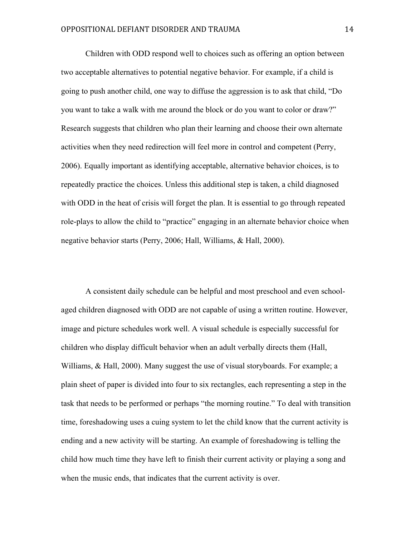Children with ODD respond well to choices such as offering an option between two acceptable alternatives to potential negative behavior. For example, if a child is going to push another child, one way to diffuse the aggression is to ask that child, "Do you want to take a walk with me around the block or do you want to color or draw?" Research suggests that children who plan their learning and choose their own alternate activities when they need redirection will feel more in control and competent (Perry, 2006). Equally important as identifying acceptable, alternative behavior choices, is to repeatedly practice the choices. Unless this additional step is taken, a child diagnosed with ODD in the heat of crisis will forget the plan. It is essential to go through repeated role-plays to allow the child to "practice" engaging in an alternate behavior choice when negative behavior starts (Perry, 2006; Hall, Williams, & Hall, 2000).

A consistent daily schedule can be helpful and most preschool and even schoolaged children diagnosed with ODD are not capable of using a written routine. However, image and picture schedules work well. A visual schedule is especially successful for children who display difficult behavior when an adult verbally directs them (Hall, Williams, & Hall, 2000). Many suggest the use of visual storyboards. For example; a plain sheet of paper is divided into four to six rectangles, each representing a step in the task that needs to be performed or perhaps "the morning routine." To deal with transition time, foreshadowing uses a cuing system to let the child know that the current activity is ending and a new activity will be starting. An example of foreshadowing is telling the child how much time they have left to finish their current activity or playing a song and when the music ends, that indicates that the current activity is over.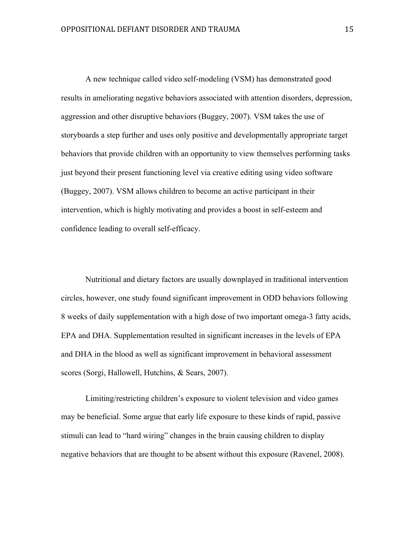A new technique called video self-modeling (VSM) has demonstrated good results in ameliorating negative behaviors associated with attention disorders, depression, aggression and other disruptive behaviors (Buggey, 2007). VSM takes the use of storyboards a step further and uses only positive and developmentally appropriate target behaviors that provide children with an opportunity to view themselves performing tasks just beyond their present functioning level via creative editing using video software (Buggey, 2007). VSM allows children to become an active participant in their intervention, which is highly motivating and provides a boost in self-esteem and confidence leading to overall self-efficacy.

Nutritional and dietary factors are usually downplayed in traditional intervention circles, however, one study found significant improvement in ODD behaviors following 8 weeks of daily supplementation with a high dose of two important omega-3 fatty acids, EPA and DHA. Supplementation resulted in significant increases in the levels of EPA and DHA in the blood as well as significant improvement in behavioral assessment scores (Sorgi, Hallowell, Hutchins, & Sears, 2007).

Limiting/restricting children's exposure to violent television and video games may be beneficial. Some argue that early life exposure to these kinds of rapid, passive stimuli can lead to "hard wiring" changes in the brain causing children to display negative behaviors that are thought to be absent without this exposure (Ravenel, 2008).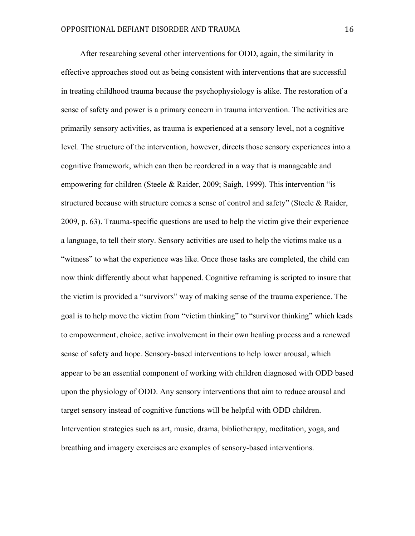After researching several other interventions for ODD, again, the similarity in effective approaches stood out as being consistent with interventions that are successful in treating childhood trauma because the psychophysiology is alike. The restoration of a sense of safety and power is a primary concern in trauma intervention. The activities are primarily sensory activities, as trauma is experienced at a sensory level, not a cognitive level. The structure of the intervention, however, directs those sensory experiences into a cognitive framework, which can then be reordered in a way that is manageable and empowering for children (Steele & Raider, 2009; Saigh, 1999). This intervention "is structured because with structure comes a sense of control and safety" (Steele & Raider, 2009, p. 63). Trauma-specific questions are used to help the victim give their experience a language, to tell their story. Sensory activities are used to help the victims make us a "witness" to what the experience was like. Once those tasks are completed, the child can now think differently about what happened. Cognitive reframing is scripted to insure that the victim is provided a "survivors" way of making sense of the trauma experience. The goal is to help move the victim from "victim thinking" to "survivor thinking" which leads to empowerment, choice, active involvement in their own healing process and a renewed sense of safety and hope. Sensory-based interventions to help lower arousal, which appear to be an essential component of working with children diagnosed with ODD based upon the physiology of ODD. Any sensory interventions that aim to reduce arousal and target sensory instead of cognitive functions will be helpful with ODD children. Intervention strategies such as art, music, drama, bibliotherapy, meditation, yoga, and breathing and imagery exercises are examples of sensory-based interventions.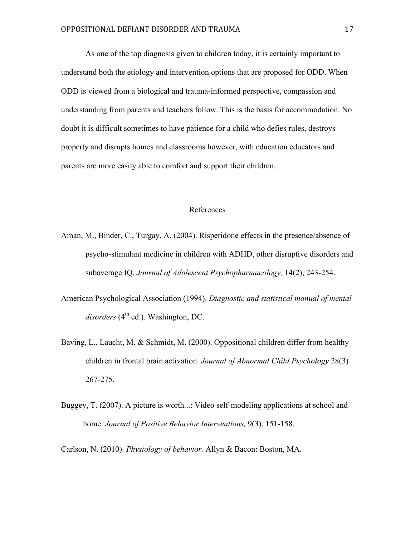As one of the top diagnosis given to children today, it is certainly important to understand both the etiology and intervention options that are proposed for ODD. When ODD is viewed from a biological and trauma-informed perspective, compassion and understanding from parents and teachers follow. This is the basis for accommodation. No doubt it is difficult sometimes to have patience for a child who defies rules, destroys property and disrupts homes and classrooms however, with education educators and parents are more easily able to comfort and support their children.

## References

- Aman, M., Binder, C., Turgay, A. (2004). Risperidone effects in the presence/absence of psycho-stimulant medicine in children with ADHD, other disruptive disorders and subaverage IQ. *Journal of Adolescent Psychopharmacology,* 14(2), 243-254.
- American Psychological Association (1994). *Diagnostic and statistical manual of mental*  $disorders (4<sup>th</sup> ed.)$ . Washington, DC.
- Baving, L., Laucht, M. & Schmidt, M. (2000). Oppositional children differ from healthy children in frontal brain activation. *Journal of Abnormal Child Psychology* 28(3) 267-275.
- Buggey, T. (2007). A picture is worth...: Video self-modeling applications at school and home. *Journal of Positive Behavior Interventions,* 9(3), 151-158.

Carlson, N. (2010). *Physiology of behavior.* Allyn & Bacon: Boston, MA.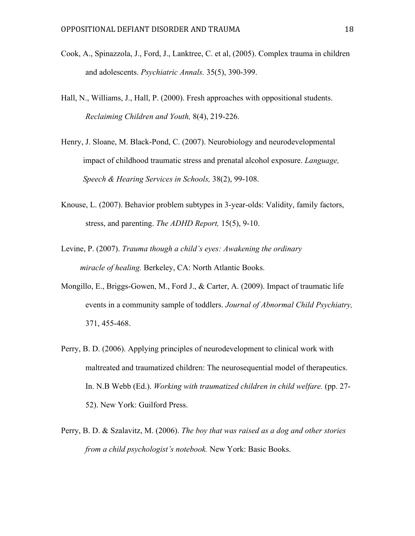- Cook, A., Spinazzola, J., Ford, J., Lanktree, C. et al, (2005). Complex trauma in children and adolescents. *Psychiatric Annals.* 35(5), 390-399.
- Hall, N., Williams, J., Hall, P. (2000). Fresh approaches with oppositional students. *Reclaiming Children and Youth,* 8(4), 219-226.
- Henry, J. Sloane, M. Black-Pond, C. (2007). Neurobiology and neurodevelopmental impact of childhood traumatic stress and prenatal alcohol exposure. *Language, Speech & Hearing Services in Schools,* 38(2), 99-108.
- Knouse, L. (2007). Behavior problem subtypes in 3-year-olds: Validity, family factors, stress, and parenting. *The ADHD Report,* 15(5), 9-10.
- Levine, P. (2007). *Trauma though a child's eyes: Awakening the ordinary miracle of healing.* Berkeley, CA: North Atlantic Books.
- Mongillo, E., Briggs-Gowen, M., Ford J., & Carter, A. (2009). Impact of traumatic life events in a community sample of toddlers. *Journal of Abnormal Child Psychiatry,*  371, 455-468.
- Perry, B. D. (2006). Applying principles of neurodevelopment to clinical work with maltreated and traumatized children: The neurosequential model of therapeutics. In. N.B Webb (Ed.). *Working with traumatized children in child welfare.* (pp. 27-52). New York: Guilford Press.
- Perry, B. D. & Szalavitz, M. (2006). *The boy that was raised as a dog and other stories from a child psychologist's notebook.* New York: Basic Books.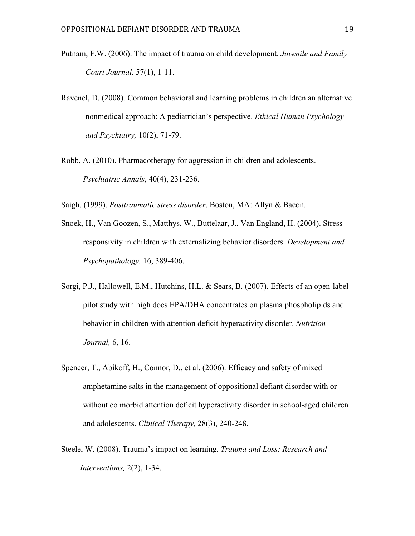- Putnam, F.W. (2006). The impact of trauma on child development. *Juvenile and Family Court Journal.* 57(1), 1-11.
- Ravenel, D. (2008). Common behavioral and learning problems in children an alternative nonmedical approach: A pediatrician's perspective. *Ethical Human Psychology and Psychiatry,* 10(2), 71-79.
- Robb, A. (2010). Pharmacotherapy for aggression in children and adolescents. *Psychiatric Annals*, 40(4), 231-236.

Saigh, (1999). *Posttraumatic stress disorder*. Boston, MA: Allyn & Bacon.

- Snoek, H., Van Goozen, S., Matthys, W., Buttelaar, J., Van England, H. (2004). Stress responsivity in children with externalizing behavior disorders. *Development and Psychopathology,* 16, 389-406.
- Sorgi, P.J., Hallowell, E.M., Hutchins, H.L. & Sears, B. (2007). Effects of an open-label pilot study with high does EPA/DHA concentrates on plasma phospholipids and behavior in children with attention deficit hyperactivity disorder. *Nutrition Journal,* 6, 16.
- Spencer, T., Abikoff, H., Connor, D., et al. (2006). Efficacy and safety of mixed amphetamine salts in the management of oppositional defiant disorder with or without co morbid attention deficit hyperactivity disorder in school-aged children and adolescents. *Clinical Therapy,* 28(3), 240-248.
- Steele, W. (2008). Trauma's impact on learning*. Trauma and Loss: Research and Interventions,* 2(2), 1-34.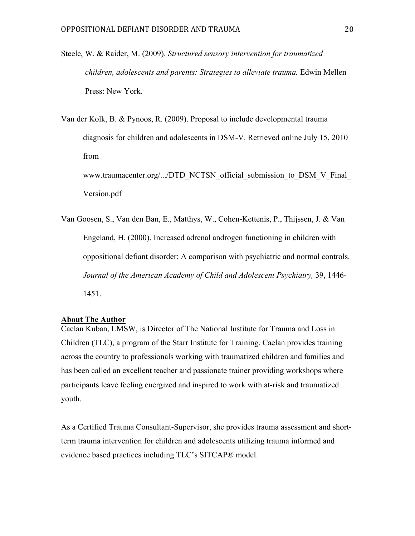Steele, W. & Raider, M. (2009). *Structured sensory intervention for traumatized children, adolescents and parents: Strategies to alleviate trauma.* Edwin Mellen Press: New York.

Van der Kolk, B. & Pynoos, R. (2009). Proposal to include developmental trauma diagnosis for children and adolescents in DSM-V. Retrieved online July 15, 2010 from www.traumacenter.org/.../DTD\_NCTSN\_official\_submission\_to\_DSM\_V\_Final\_ Version.pdf

Van Goosen, S., Van den Ban, E., Matthys, W., Cohen-Kettenis, P., Thijssen, J. & Van Engeland, H. (2000). Increased adrenal androgen functioning in children with oppositional defiant disorder: A comparison with psychiatric and normal controls. *Journal of the American Academy of Child and Adolescent Psychiatry,* 39, 1446- 1451.

## **About The Author**

Caelan Kuban, LMSW, is Director of The National Institute for Trauma and Loss in Children (TLC), a program of the Starr Institute for Training. Caelan provides training across the country to professionals working with traumatized children and families and has been called an excellent teacher and passionate trainer providing workshops where participants leave feeling energized and inspired to work with at-risk and traumatized youth.

As a Certified Trauma Consultant-Supervisor, she provides trauma assessment and shortterm trauma intervention for children and adolescents utilizing trauma informed and evidence based practices including TLC's SITCAP® model.